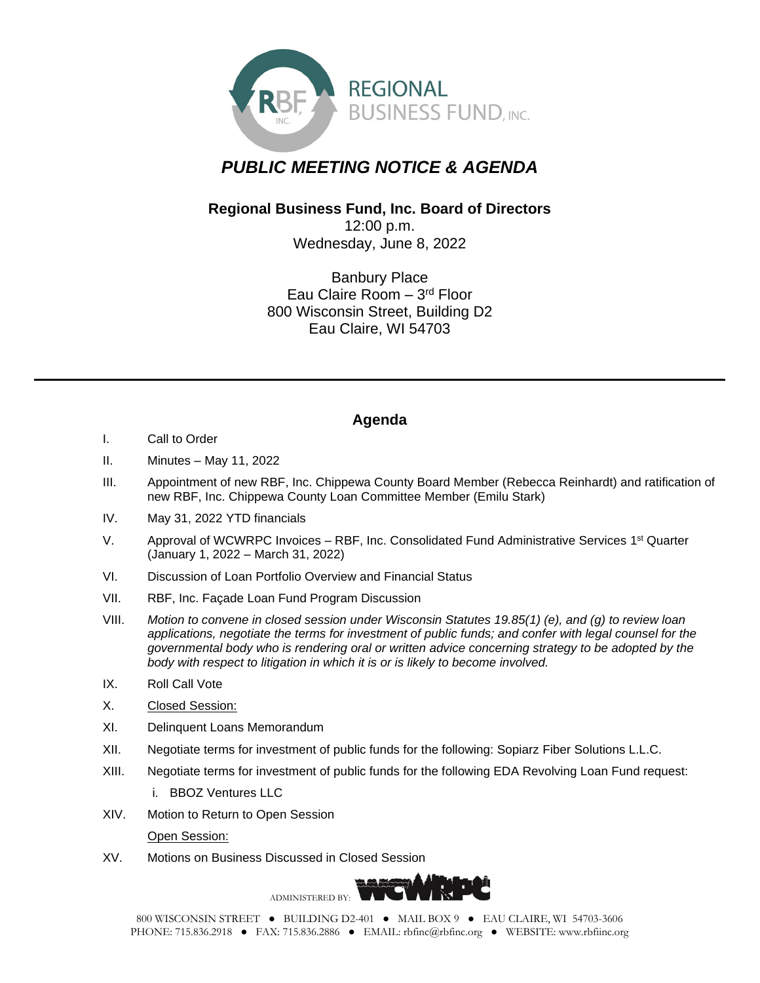

## *PUBLIC MEETING NOTICE & AGENDA*

## **Regional Business Fund, Inc. Board of Directors**

12:00 p.m. Wednesday, June 8, 2022

Banbury Place Eau Claire Room - 3rd Floor 800 Wisconsin Street, Building D2 Eau Claire, WI 54703

## **Agenda**

- I. Call to Order
- II. Minutes May 11, 2022
- III. Appointment of new RBF, Inc. Chippewa County Board Member (Rebecca Reinhardt) and ratification of new RBF, Inc. Chippewa County Loan Committee Member (Emilu Stark)
- IV. May 31, 2022 YTD financials
- V. Approval of WCWRPC Invoices RBF, Inc. Consolidated Fund Administrative Services 1<sup>st</sup> Quarter (January 1, 2022 – March 31, 2022)
- VI. Discussion of Loan Portfolio Overview and Financial Status
- VII. RBF, Inc. Façade Loan Fund Program Discussion
- VIII. *Motion to convene in closed session under Wisconsin Statutes 19.85(1) (e), and (g) to review loan applications, negotiate the terms for investment of public funds; and confer with legal counsel for the governmental body who is rendering oral or written advice concerning strategy to be adopted by the body with respect to litigation in which it is or is likely to become involved.*
- IX. Roll Call Vote
- X. Closed Session:
- XI. Delinquent Loans Memorandum
- XII. Negotiate terms for investment of public funds for the following: Sopiarz Fiber Solutions L.L.C.
- XIII. Negotiate terms for investment of public funds for the following EDA Revolving Loan Fund request:
	- i. BBOZ Ventures LLC
- XIV. Motion to Return to Open Session

Open Session:

XV. Motions on Business Discussed in Closed Session